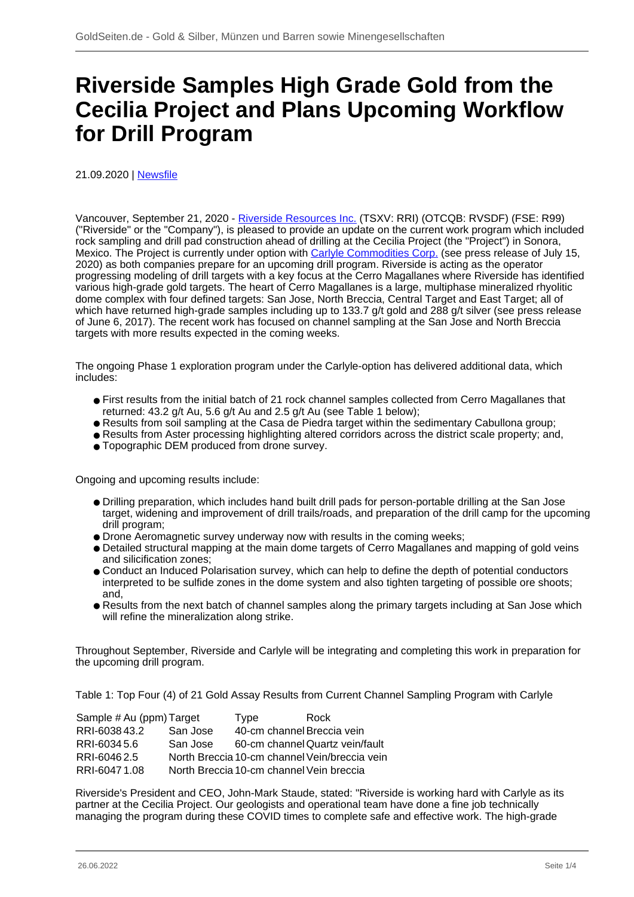## **Riverside Samples High Grade Gold from the Cecilia Project and Plans Upcoming Workflow for Drill Program**

21.09.2020 | [Newsfile](/profil/273--Newsfile)

Vancouver, September 21, 2020 - [Riverside Resources Inc.](/minen/1564--Riverside-Resources-Inc) (TSXV: RRI) (OTCQB: RVSDF) (FSE: R99) ("Riverside" or the "Company"), is pleased to provide an update on the current work program which included rock sampling and drill pad construction ahead of drilling at the Cecilia Project (the "Project") in Sonora, Mexico. The Project is currently under option with [Carlyle Commodities Corp.](/minen/3684--Carlyle-Commodities-Corp) (see press release of July 15, 2020) as both companies prepare for an upcoming drill program. Riverside is acting as the operator progressing modeling of drill targets with a key focus at the Cerro Magallanes where Riverside has identified various high-grade gold targets. The heart of Cerro Magallanes is a large, multiphase mineralized rhyolitic dome complex with four defined targets: San Jose, North Breccia, Central Target and East Target; all of which have returned high-grade samples including up to 133.7 g/t gold and 288 g/t silver (see press release of June 6, 2017). The recent work has focused on channel sampling at the San Jose and North Breccia targets with more results expected in the coming weeks.

The ongoing Phase 1 exploration program under the Carlyle-option has delivered additional data, which includes:

- First results from the initial batch of 21 rock channel samples collected from Cerro Magallanes that returned: 43.2 g/t Au, 5.6 g/t Au and 2.5 g/t Au (see Table 1 below);
- Results from soil sampling at the Casa de Piedra target within the sedimentary Cabullona group;
- Results from Aster processing highlighting altered corridors across the district scale property; and,
- Topographic DEM produced from drone survey.

Ongoing and upcoming results include:

- Drilling preparation, which includes hand built drill pads for person-portable drilling at the San Jose target, widening and improvement of drill trails/roads, and preparation of the drill camp for the upcoming drill program;
- Drone Aeromagnetic survey underway now with results in the coming weeks;
- Detailed structural mapping at the main dome targets of Cerro Magallanes and mapping of gold veins and silicification zones;
- Conduct an Induced Polarisation survey, which can help to define the depth of potential conductors interpreted to be sulfide zones in the dome system and also tighten targeting of possible ore shoots; and,
- Results from the next batch of channel samples along the primary targets including at San Jose which will refine the mineralization along strike.

Throughout September, Riverside and Carlyle will be integrating and completing this work in preparation for the upcoming drill program.

Table 1: Top Four (4) of 21 Gold Assay Results from Current Channel Sampling Program with Carlyle

| Sample # Au (ppm) Target |                                          | <b>Type</b> | Rock                                          |
|--------------------------|------------------------------------------|-------------|-----------------------------------------------|
| RRI-603843.2             | San Jose                                 |             | 40-cm channel Breccia vein                    |
| RRI-60345.6              | San Jose                                 |             | 60-cm channel Quartz vein/fault               |
| RRI-60462.5              |                                          |             | North Breccia 10-cm channel Vein/breccia vein |
| RRI-60471.08             | North Breccia 10-cm channel Vein breccia |             |                                               |

Riverside's President and CEO, John-Mark Staude, stated: "Riverside is working hard with Carlyle as its partner at the Cecilia Project. Our geologists and operational team have done a fine job technically managing the program during these COVID times to complete safe and effective work. The high-grade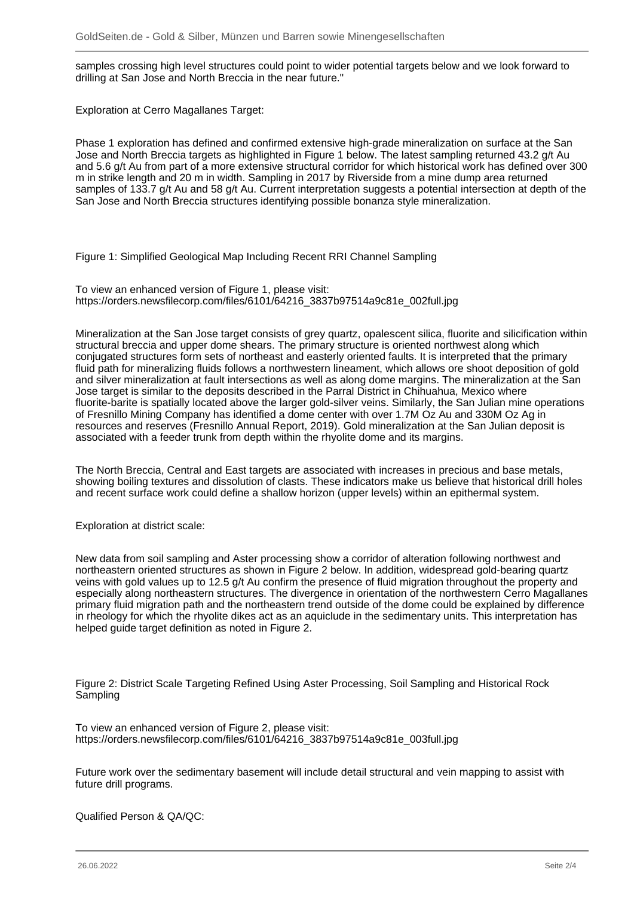samples crossing high level structures could point to wider potential targets below and we look forward to drilling at San Jose and North Breccia in the near future."

Exploration at Cerro Magallanes Target:

Phase 1 exploration has defined and confirmed extensive high-grade mineralization on surface at the San Jose and North Breccia targets as highlighted in Figure 1 below. The latest sampling returned 43.2 g/t Au and 5.6 g/t Au from part of a more extensive structural corridor for which historical work has defined over 300 m in strike length and 20 m in width. Sampling in 2017 by Riverside from a mine dump area returned samples of 133.7 g/t Au and 58 g/t Au. Current interpretation suggests a potential intersection at depth of the San Jose and North Breccia structures identifying possible bonanza style mineralization.

Figure 1: Simplified Geological Map Including Recent RRI Channel Sampling

To view an enhanced version of Figure 1, please visit: https://orders.newsfilecorp.com/files/6101/64216\_3837b97514a9c81e\_002full.jpg

Mineralization at the San Jose target consists of grey quartz, opalescent silica, fluorite and silicification within structural breccia and upper dome shears. The primary structure is oriented northwest along which conjugated structures form sets of northeast and easterly oriented faults. It is interpreted that the primary fluid path for mineralizing fluids follows a northwestern lineament, which allows ore shoot deposition of gold and silver mineralization at fault intersections as well as along dome margins. The mineralization at the San Jose target is similar to the deposits described in the Parral District in Chihuahua, Mexico where fluorite-barite is spatially located above the larger gold-silver veins. Similarly, the San Julian mine operations of Fresnillo Mining Company has identified a dome center with over 1.7M Oz Au and 330M Oz Ag in resources and reserves (Fresnillo Annual Report, 2019). Gold mineralization at the San Julian deposit is associated with a feeder trunk from depth within the rhyolite dome and its margins.

The North Breccia, Central and East targets are associated with increases in precious and base metals, showing boiling textures and dissolution of clasts. These indicators make us believe that historical drill holes and recent surface work could define a shallow horizon (upper levels) within an epithermal system.

Exploration at district scale:

New data from soil sampling and Aster processing show a corridor of alteration following northwest and northeastern oriented structures as shown in Figure 2 below. In addition, widespread gold-bearing quartz veins with gold values up to 12.5 g/t Au confirm the presence of fluid migration throughout the property and especially along northeastern structures. The divergence in orientation of the northwestern Cerro Magallanes primary fluid migration path and the northeastern trend outside of the dome could be explained by difference in rheology for which the rhyolite dikes act as an aquiclude in the sedimentary units. This interpretation has helped guide target definition as noted in Figure 2.

Figure 2: District Scale Targeting Refined Using Aster Processing, Soil Sampling and Historical Rock **Sampling** 

To view an enhanced version of Figure 2, please visit: https://orders.newsfilecorp.com/files/6101/64216\_3837b97514a9c81e\_003full.jpg

Future work over the sedimentary basement will include detail structural and vein mapping to assist with future drill programs.

Qualified Person & QA/QC: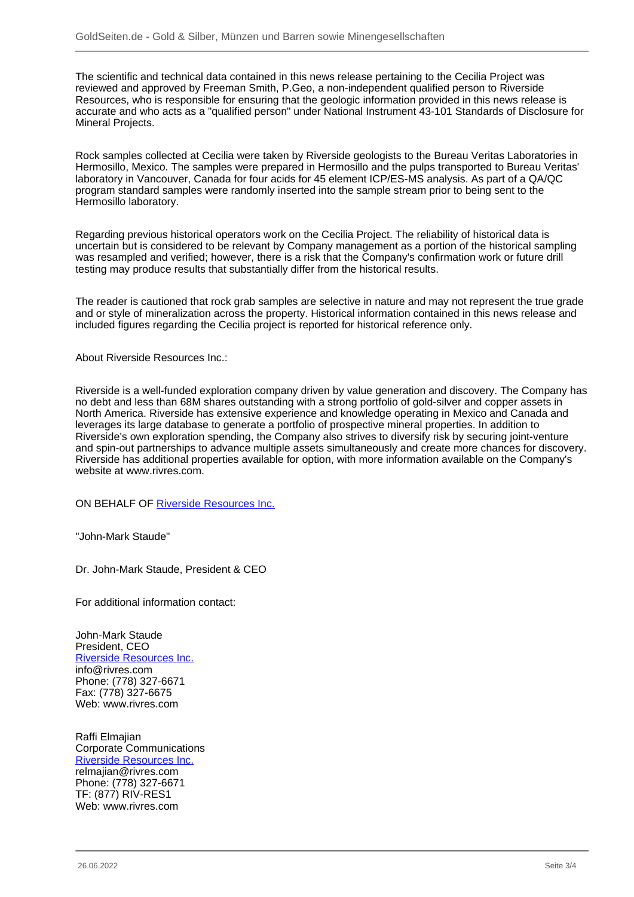The scientific and technical data contained in this news release pertaining to the Cecilia Project was reviewed and approved by Freeman Smith, P.Geo, a non-independent qualified person to Riverside Resources, who is responsible for ensuring that the geologic information provided in this news release is accurate and who acts as a "qualified person" under National Instrument 43-101 Standards of Disclosure for Mineral Projects.

Rock samples collected at Cecilia were taken by Riverside geologists to the Bureau Veritas Laboratories in Hermosillo, Mexico. The samples were prepared in Hermosillo and the pulps transported to Bureau Veritas' laboratory in Vancouver, Canada for four acids for 45 element ICP/ES-MS analysis. As part of a QA/QC program standard samples were randomly inserted into the sample stream prior to being sent to the Hermosillo laboratory.

Regarding previous historical operators work on the Cecilia Project. The reliability of historical data is uncertain but is considered to be relevant by Company management as a portion of the historical sampling was resampled and verified; however, there is a risk that the Company's confirmation work or future drill testing may produce results that substantially differ from the historical results.

The reader is cautioned that rock grab samples are selective in nature and may not represent the true grade and or style of mineralization across the property. Historical information contained in this news release and included figures regarding the Cecilia project is reported for historical reference only.

About Riverside Resources Inc.:

Riverside is a well-funded exploration company driven by value generation and discovery. The Company has no debt and less than 68M shares outstanding with a strong portfolio of gold-silver and copper assets in North America. Riverside has extensive experience and knowledge operating in Mexico and Canada and leverages its large database to generate a portfolio of prospective mineral properties. In addition to Riverside's own exploration spending, the Company also strives to diversify risk by securing joint-venture and spin-out partnerships to advance multiple assets simultaneously and create more chances for discovery. Riverside has additional properties available for option, with more information available on the Company's website at www.rivres.com.

ON BEHALF OF [Riverside Resources Inc.](/minen/1564--Riverside-Resources-Inc)

"John-Mark Staude"

Dr. John-Mark Staude, President & CEO

For additional information contact:

John-Mark Staude President, CEO [Riverside Resources Inc.](/minen/1564--Riverside-Resources-Inc) info@rivres.com Phone: (778) 327-6671 Fax: (778) 327-6675 Web: www.rivres.com

Raffi Elmajian Corporate Communications [Riverside Resources Inc.](/minen/1564--Riverside-Resources-Inc) relmajian@rivres.com Phone: (778) 327-6671 TF: (877) RIV-RES1 Web: www.rivres.com